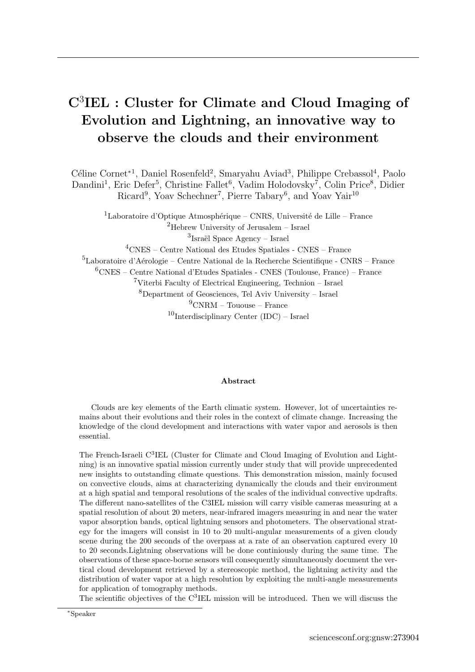## C<sup>3</sup> IEL : Cluster for Climate and Cloud Imaging of Evolution and Lightning, an innovative way to observe the clouds and their environment

Céline Cornet<sup>∗1</sup>, Daniel Rosenfeld<sup>2</sup>, Smaryahu Aviad<sup>3</sup>, Philippe Crebassol<sup>4</sup>, Paolo Dandini<sup>1</sup>, Eric Defer<sup>5</sup>, Christine Fallet<sup>6</sup>, Vadim Holodovsky<sup>7</sup>, Colin Price<sup>8</sup>, Didier Ricard<sup>9</sup>, Yoav Schechner<sup>7</sup>, Pierre Tabary<sup>6</sup>, and Yoav Yair<sup>10</sup>

 $1$ Laboratoire d'Optique Atmosphérique – CNRS, Université de Lille – France <sup>2</sup>Hebrew University of Jerusalem – Israel  ${}^{3}$ Israël Space Agency – Israel

<sup>4</sup>CNES – Centre National des Etudes Spatiales - CNES – France

 ${}^{5}$ Laboratoire d'Aérologie – Centre National de la Recherche Scientifique - CNRS – France

 ${}^{6}$ CNES – Centre National d'Etudes Spatiales - CNES (Toulouse, France) – France

 $7$ Viterbi Faculty of Electrical Engineering, Technion – Israel

 $8$ Department of Geosciences, Tel Aviv University – Israel

 $^{9}$ CNRM – Tououse – France

 $10$ Interdisciplinary Center (IDC) – Israel

## Abstract

Clouds are key elements of the Earth climatic system. However, lot of uncertainties remains about their evolutions and their roles in the context of climate change. Increasing the knowledge of the cloud development and interactions with water vapor and aerosols is then essential.

The French-Israeli C<sup>3</sup>IEL (Cluster for Climate and Cloud Imaging of Evolution and Lightning) is an innovative spatial mission currently under study that will provide unprecedented new insights to outstanding climate questions. This demonstration mission, mainly focused on convective clouds, aims at characterizing dynamically the clouds and their environment at a high spatial and temporal resolutions of the scales of the individual convective updrafts. The different nano-satellites of the C3IEL mission will carry visible cameras measuring at a spatial resolution of about 20 meters, near-infrared imagers measuring in and near the water vapor absorption bands, optical lightning sensors and photometers. The observational strategy for the imagers will consist in 10 to 20 multi-angular measurements of a given cloudy scene during the 200 seconds of the overpass at a rate of an observation captured every 10 to 20 seconds.Lightning observations will be done continiously during the same time. The observations of these space-borne sensors will consequently simultaneously document the vertical cloud development retrieved by a stereoscopic method, the lightning activity and the distribution of water vapor at a high resolution by exploiting the multi-angle measurements for application of tomography methods.

The scientific objectives of the C<sup>3</sup>IEL mission will be introduced. Then we will discuss the